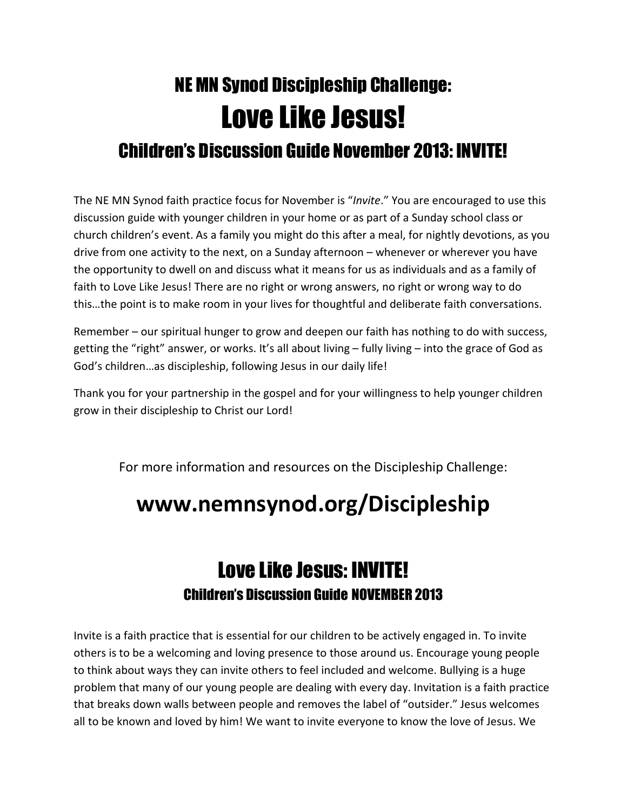# NE MN Synod Discipleship Challenge: Love Like Jesus! Children's Discussion Guide November 2013: INVITE!

The NE MN Synod faith practice focus for November is "Invite." You are encouraged to use this discussion guide with younger children in your home or as part of a Sunday school class or church children's event. As a family you might do this after a meal, for nightly devotions, as you drive from one activity to the next, on a Sunday afternoon – whenever or wherever you have the opportunity to dwell on and discuss what it means for us as individuals and as a family of faith to Love Like Jesus! There are no right or wrong answers, no right or wrong way to do this…the point is to make room in your lives for thoughtful and deliberate faith conversations.

Remember – our spiritual hunger to grow and deepen our faith has nothing to do with success, getting the "right" answer, or works. It's all about living – fully living – into the grace of God as God's children…as discipleship, following Jesus in our daily life!

Thank you for your partnership in the gospel and for your willingness to help younger children grow in their discipleship to Christ our Lord!

For more information and resources on the Discipleship Challenge:

## www.nemnsynod.org/Discipleship

### Love Like Jesus: INVITE! Children's Discussion Guide NOVEMBER 2013

Invite is a faith practice that is essential for our children to be actively engaged in. To invite others is to be a welcoming and loving presence to those around us. Encourage young people to think about ways they can invite others to feel included and welcome. Bullying is a huge problem that many of our young people are dealing with every day. Invitation is a faith practice that breaks down walls between people and removes the label of "outsider." Jesus welcomes all to be known and loved by him! We want to invite everyone to know the love of Jesus. We